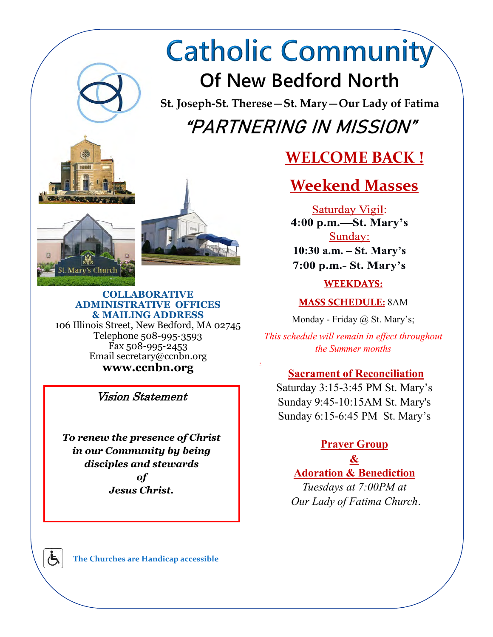# **Catholic Community Of New Bedford North**

**St. Joseph-St. Therese—St. Mary—Our Lady of Fatima** "PARTNERING IN MISSION"

.

# **WELCOME BACK !**

# **Weekend Masses**

Saturday Vigil:  $4:00$  p.m.—St. Mary's Sunday:  $10:30$  a.m.  $-$  St. Mary's 7:00 p.m.- St. Mary's

**WEEKDAYS:** 

**MASS SCHEDULE: 8AM** 

Monday - Friday @ St. Mary's;

*This schedule will remain in effect throughout the Summer months*

### **Sacrament of Reconciliation**

Saturday 3:15-3:45 PM St. Mary's Sunday 9:45-10:15AM St. Mary's Sunday 6:15-6:45 PM St. Mary's

### **Prayer Group**

**& Adoration & Benediction** 

*Tuesdays at 7:00PM at Our Lady of Fatima Church*.



#### **COLLABORATIVE ADMINISTRATIVE OFFICES & MAILING ADDRESS**  106 Illinois Street, New Bedford, MA 02745 Telephone 508-995-3593 Fax 508-995-2453 Email secretary@ccnbn.org

**www.ccnbn.org** 

Vision Statement

*To renew the presence of Christ in our Community by being disciples and stewards of Jesus Christ.* 

**The Churches are Handicap accessible**

Ġ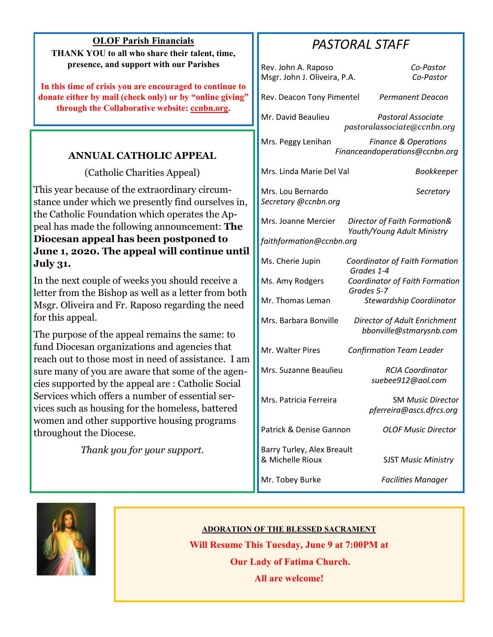**OLOF Parish Financials THANK YOU to all who share their talent, time, presence, and support with our Parishes**

**In this time of crisis you are encouraged to continue to donate either by mail (check only) or by "online giving" through the Collaborative website: ccnbn.org.**

#### **ANNUAL CATHOLIC APPEAL**

(Catholic Charities Appeal)

This year because of the extraordinary circumstance under which we presently find ourselves in, the Catholic Foundation which operates the Appeal has made the following announcement: **The Diocesan appeal has been postponed to June 1, 2020. The appeal will continue until July 31.**

In the next couple of weeks you should receive a letter from the Bishop as well as a letter from both Msgr. Oliveira and Fr. Raposo regarding the need for this appeal.

The purpose of the appeal remains the same: to fund Diocesan organizations and agencies that reach out to those most in need of assistance. I am sure many of you are aware that some of the agencies supported by the appeal are : Catholic Social Services which offers a number of essential services such as housing for the homeless, battered women and other supportive housing programs throughout the Diocese.

*Thank you for your support.*

## *PASTORAL STAFF*

|                          | Rev. John A. Raposo<br>Msgr. John J. Oliveira, P.A. | Co-Pastor<br>Co-Pastor                                            |
|--------------------------|-----------------------------------------------------|-------------------------------------------------------------------|
|                          | Rev. Deacon Tony Pimentel                           | Permanent Deacon                                                  |
|                          | Mr. David Beaulieu                                  | <b>Pastoral Associate</b><br>pastoralassociate@ccnbn.org          |
|                          | Mrs. Peggy Lenihan                                  | <b>Finance &amp; Operations</b><br>Financeandoperations@ccnbn.org |
|                          | Mrs. Linda Marie Del Val                            | Bookkeeper                                                        |
|                          | Mrs. Lou Bernardo<br>Secretary @ccnbn.org           | Secretary                                                         |
|                          | Mrs. Joanne Mercier                                 | Director of Faith Formation&<br>Youth/Young Adult Ministry        |
| faithformation@ccnbn.org |                                                     |                                                                   |
|                          | Ms. Cherie Jupin                                    | Coordinator of Faith Formation<br>Grades 1-4                      |
|                          | Ms. Amy Rodgers                                     | Coordinator of Faith Formation<br>Grades 5-7                      |
|                          | Mr. Thomas Leman                                    | Stewardship Coordiinator                                          |
|                          | Mrs. Barbara Bonville                               | Director of Adult Enrichment<br>bbonville@stmarysnb.com           |
|                          | Mr. Walter Pires                                    | <b>Confirmation Team Leader</b>                                   |
|                          | Mrs. Suzanne Beaulieu                               | <b>RCIA Coordinator</b><br>suebee912@aol.com                      |
|                          | Mrs. Patricia Ferreira                              | <b>SM Music Director</b><br>pferreira@ascs.dfrcs.org              |
|                          | Patrick & Denise Gannon                             | OLOF Music Director                                               |
|                          | Barry Turley, Alex Breault<br>& Michelle Rioux      | <b>SJST Music Ministry</b>                                        |
|                          | Mr. Tobey Burke                                     | <b>Facilities Manager</b>                                         |



#### **ADORATION OF THE BLESSED SACRAMENT**

**Will Resume This Tuesday, June 9 at 7:00PM at Our Lady of Fatima Church.**

**All are welcome!**